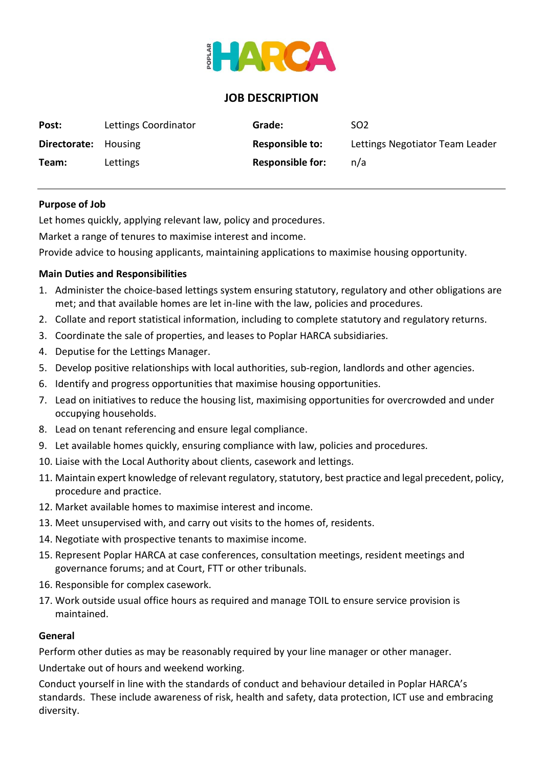

# **JOB DESCRIPTION**

| Post:                       | Lettings Coordinator | Grade:                  | SO <sub>2</sub>                 |
|-----------------------------|----------------------|-------------------------|---------------------------------|
| <b>Directorate:</b> Housing |                      | <b>Responsible to:</b>  | Lettings Negotiator Team Leader |
| Team:                       | Lettings             | <b>Responsible for:</b> | n/a                             |

### **Purpose of Job**

Let homes quickly, applying relevant law, policy and procedures.

Market a range of tenures to maximise interest and income.

Provide advice to housing applicants, maintaining applications to maximise housing opportunity.

## **Main Duties and Responsibilities**

- 1. Administer the choice-based lettings system ensuring statutory, regulatory and other obligations are met; and that available homes are let in-line with the law, policies and procedures.
- 2. Collate and report statistical information, including to complete statutory and regulatory returns.
- 3. Coordinate the sale of properties, and leases to Poplar HARCA subsidiaries.
- 4. Deputise for the Lettings Manager.
- 5. Develop positive relationships with local authorities, sub-region, landlords and other agencies.
- 6. Identify and progress opportunities that maximise housing opportunities.
- 7. Lead on initiatives to reduce the housing list, maximising opportunities for overcrowded and under occupying households.
- 8. Lead on tenant referencing and ensure legal compliance.
- 9. Let available homes quickly, ensuring compliance with law, policies and procedures.
- 10. Liaise with the Local Authority about clients, casework and lettings.
- 11. Maintain expert knowledge of relevant regulatory, statutory, best practice and legal precedent, policy, procedure and practice.
- 12. Market available homes to maximise interest and income.
- 13. Meet unsupervised with, and carry out visits to the homes of, residents.
- 14. Negotiate with prospective tenants to maximise income.
- 15. Represent Poplar HARCA at case conferences, consultation meetings, resident meetings and governance forums; and at Court, FTT or other tribunals.
- 16. Responsible for complex casework.
- 17. Work outside usual office hours as required and manage TOIL to ensure service provision is maintained.

### **General**

Perform other duties as may be reasonably required by your line manager or other manager.

Undertake out of hours and weekend working.

Conduct yourself in line with the standards of conduct and behaviour detailed in Poplar HARCA's standards. These include awareness of risk, health and safety, data protection, ICT use and embracing diversity.